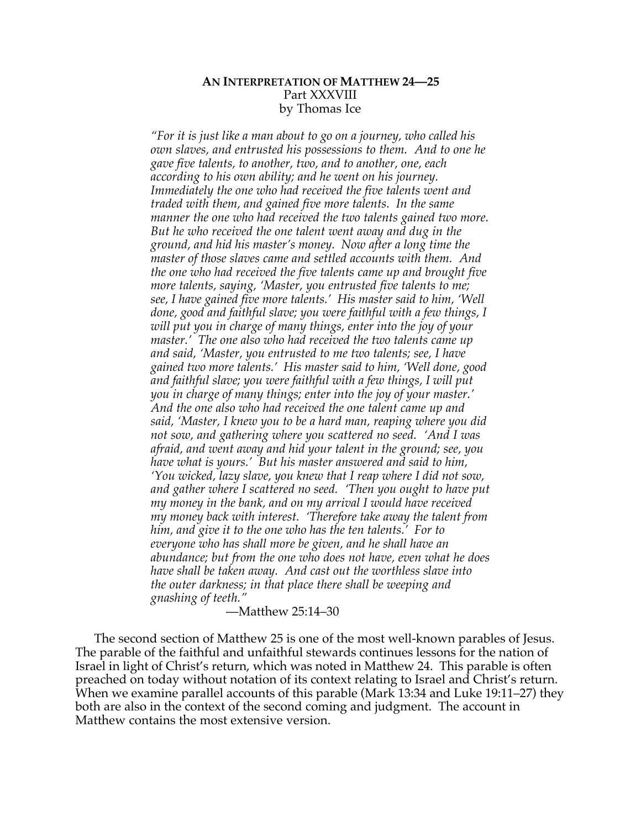## **AN INTERPRETATION OF MATTHEW 24—25** Part XXXVIII by Thomas Ice

*"For it is just like a man about to go on a journey, who called his own slaves, and entrusted his possessions to them. And to one he gave five talents, to another, two, and to another, one, each according to his own ability; and he went on his journey. Immediately the one who had received the five talents went and traded with them, and gained five more talents. In the same manner the one who had received the two talents gained two more. But he who received the one talent went away and dug in the ground, and hid his master's money. Now after a long time the master of those slaves came and settled accounts with them. And the one who had received the five talents came up and brought five more talents, saying, 'Master, you entrusted five talents to me; see, I have gained five more talents.' His master said to him, 'Well done, good and faithful slave; you were faithful with a few things, I will put you in charge of many things, enter into the joy of your master.' The one also who had received the two talents came up and said, 'Master, you entrusted to me two talents; see, I have gained two more talents.' His master said to him, 'Well done, good and faithful slave; you were faithful with a few things, I will put you in charge of many things; enter into the joy of your master.' And the one also who had received the one talent came up and said, 'Master, I knew you to be a hard man, reaping where you did not sow, and gathering where you scattered no seed. 'And I was afraid, and went away and hid your talent in the ground; see, you have what is yours.' But his master answered and said to him, 'You wicked, lazy slave, you knew that I reap where I did not sow, and gather where I scattered no seed. 'Then you ought to have put my money in the bank, and on my arrival I would have received my money back with interest. 'Therefore take away the talent from him, and give it to the one who has the ten talents.' For to everyone who has shall more be given, and he shall have an abundance; but from the one who does not have, even what he does have shall be taken away. And cast out the worthless slave into the outer darkness; in that place there shall be weeping and gnashing of teeth."*

## —Matthew 25:14–30

The second section of Matthew 25 is one of the most well-known parables of Jesus. The parable of the faithful and unfaithful stewards continues lessons for the nation of Israel in light of Christ's return, which was noted in Matthew 24. This parable is often preached on today without notation of its context relating to Israel and Christ's return. When we examine parallel accounts of this parable (Mark 13:34 and Luke 19:11–27) they both are also in the context of the second coming and judgment. The account in Matthew contains the most extensive version.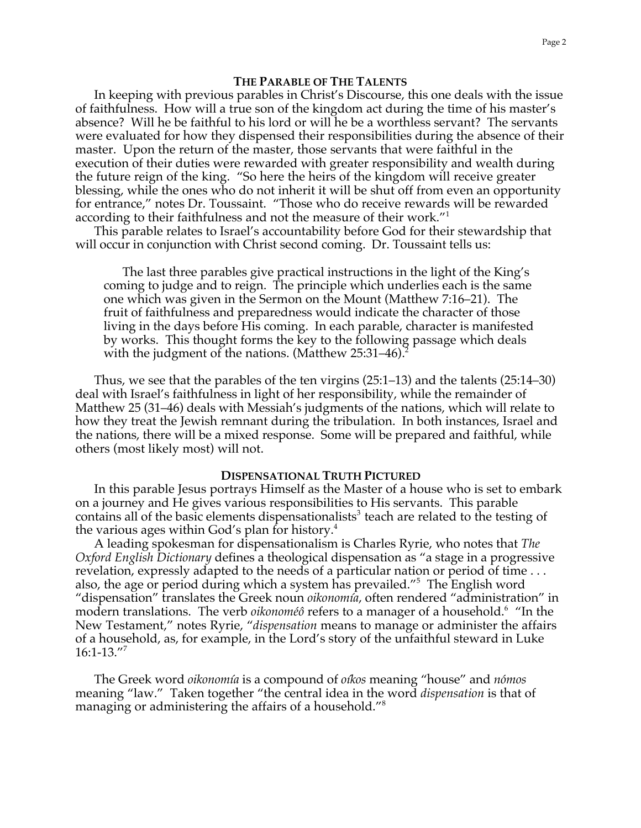## **THE PARABLE OF THE TALENTS**

In keeping with previous parables in Christ's Discourse, this one deals with the issue of faithfulness. How will a true son of the kingdom act during the time of his master's absence? Will he be faithful to his lord or will he be a worthless servant? The servants were evaluated for how they dispensed their responsibilities during the absence of their master. Upon the return of the master, those servants that were faithful in the execution of their duties were rewarded with greater responsibility and wealth during the future reign of the king. "So here the heirs of the kingdom will receive greater blessing, while the ones who do not inherit it will be shut off from even an opportunity for entrance," notes Dr. Toussaint. "Those who do receive rewards will be rewarded according to their faithfulness and not the measure of their work."<sup>1</sup>

This parable relates to Israel's accountability before God for their stewardship that will occur in conjunction with Christ second coming. Dr. Toussaint tells us:

The last three parables give practical instructions in the light of the King's coming to judge and to reign. The principle which underlies each is the same one which was given in the Sermon on the Mount (Matthew 7:16–21). The fruit of faithfulness and preparedness would indicate the character of those living in the days before His coming. In each parable, character is manifested by works. This thought forms the key to the following passage which deals with the judgment of the nations. (Matthew  $25:31-46$ ).<sup>2</sup>

Thus, we see that the parables of the ten virgins (25:1–13) and the talents (25:14–30) deal with Israel's faithfulness in light of her responsibility, while the remainder of Matthew 25 (31–46) deals with Messiah's judgments of the nations, which will relate to how they treat the Jewish remnant during the tribulation. In both instances, Israel and the nations, there will be a mixed response. Some will be prepared and faithful, while others (most likely most) will not.

#### **DISPENSATIONAL TRUTH PICTURED**

In this parable Jesus portrays Himself as the Master of a house who is set to embark on a journey and He gives various responsibilities to His servants. This parable contains all of the basic elements dispensationalists<sup>3</sup> teach are related to the testing of the various ages within God's plan for history.<sup>4</sup>

A leading spokesman for dispensationalism is Charles Ryrie, who notes that *The Oxford English Dictionary* defines a theological dispensation as "a stage in a progressive revelation, expressly adapted to the needs of a particular nation or period of time . . . also, the age or period during which a system has prevailed."5 The English word "dispensation" translates the Greek noun *oikonomía*, often rendered "administration" in modern translations. The verb *oikonoméô* refers to a manager of a household.<sup>6</sup> "In the New Testament," notes Ryrie, "*dispensation* means to manage or administer the affairs of a household, as, for example, in the Lord's story of the unfaithful steward in Luke  $16:1-13."$ <sup>7</sup>

The Greek word *oikonomía* is a compound of *oíkos* meaning "house" and *nómos* meaning "law." Taken together "the central idea in the word *dispensation* is that of managing or administering the affairs of a household."8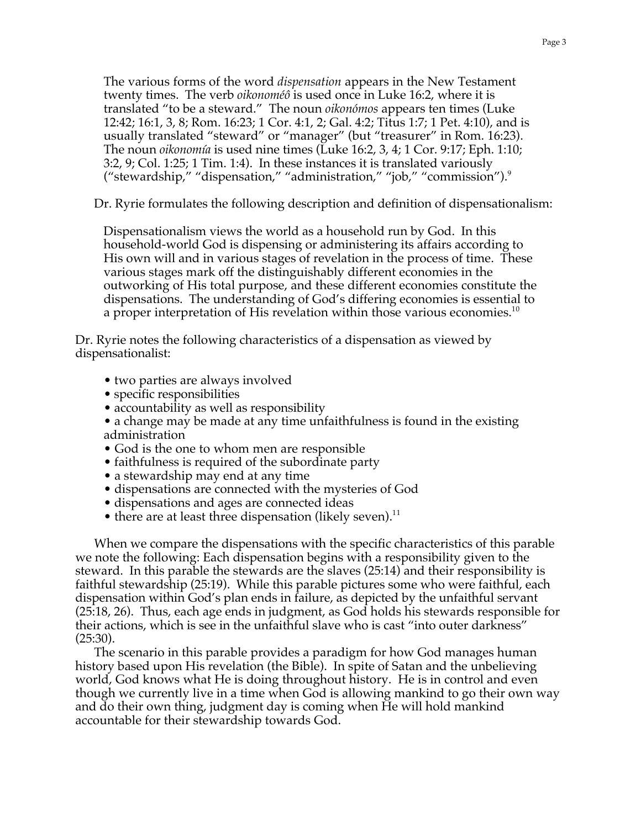The various forms of the word *dispensation* appears in the New Testament twenty times. The verb *oikonoméô* is used once in Luke 16:2, where it is translated "to be a steward." The noun *oikonómos* appears ten times (Luke 12:42; 16:1, 3, 8; Rom. 16:23; 1 Cor. 4:1, 2; Gal. 4:2; Titus 1:7; 1 Pet. 4:10), and is usually translated "steward" or "manager" (but "treasurer" in Rom. 16:23). The noun *oikonomía* is used nine times (Luke 16:2, 3, 4; 1 Cor. 9:17; Eph. 1:10; 3:2, 9; Col. 1:25; 1 Tim. 1:4). In these instances it is translated variously ("stewardship," "dispensation," "administration," "job," "commission").9

Dr. Ryrie formulates the following description and definition of dispensationalism:

Dispensationalism views the world as a household run by God. In this household-world God is dispensing or administering its affairs according to His own will and in various stages of revelation in the process of time. These various stages mark off the distinguishably different economies in the outworking of His total purpose, and these different economies constitute the dispensations. The understanding of God's differing economies is essential to a proper interpretation of His revelation within those various economies.<sup>10</sup>

Dr. Ryrie notes the following characteristics of a dispensation as viewed by dispensationalist:

- two parties are always involved
- specific responsibilities
- accountability as well as responsibility
- a change may be made at any time unfaithfulness is found in the existing administration
- God is the one to whom men are responsible
- faithfulness is required of the subordinate party
- a stewardship may end at any time
- dispensations are connected with the mysteries of God
- dispensations and ages are connected ideas
- there are at least three dispensation (likely seven).<sup>11</sup>

When we compare the dispensations with the specific characteristics of this parable we note the following: Each dispensation begins with a responsibility given to the steward. In this parable the stewards are the slaves (25:14) and their responsibility is faithful stewardship (25:19). While this parable pictures some who were faithful, each dispensation within God's plan ends in failure, as depicted by the unfaithful servant (25:18, 26). Thus, each age ends in judgment, as God holds his stewards responsible for their actions, which is see in the unfaithful slave who is cast "into outer darkness" (25:30).

The scenario in this parable provides a paradigm for how God manages human history based upon His revelation (the Bible). In spite of Satan and the unbelieving world, God knows what He is doing throughout history. He is in control and even though we currently live in a time when God is allowing mankind to go their own way and do their own thing, judgment day is coming when He will hold mankind accountable for their stewardship towards God.